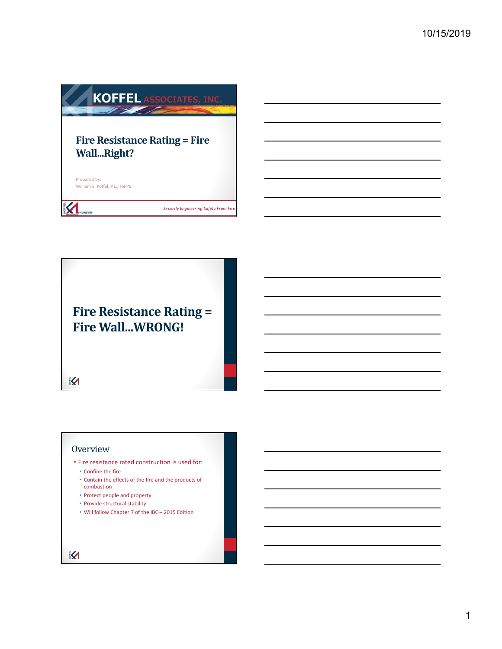

**Fire Resistance Rating = Fire Wall...WRONG!**

 $\overline{\mathbf{X}}$ 

#### **Overview**

- Fire resistance rated construction is used for: • Confine the fire
	- Contain the effects of the fire and the products of combustion
	- Protect people and property
	- Provide structural stability
- Will follow Chapter 7 of the IBC 2015 Edition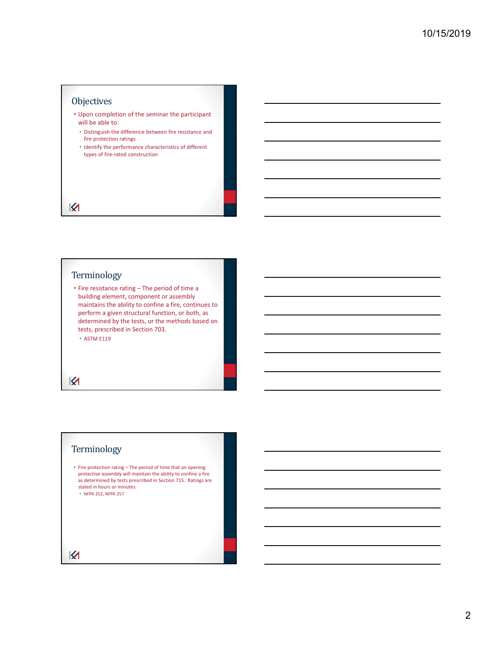

## Terminology

• Fire resistance rating – The period of time a building element, component or assembly maintains the ability to confine a fire, continues to perform a given structural function, or both, as determined by the tests, or the methods based on tests, prescribed in Section 703. • ASTM E119

 $\overline{\mathbf{X}}$ 

## Terminology

- Fire protection rating The period of time that an opening protective assembly will maintain the ability to confine a fire as determined by tests prescribed in Section 715. Ratings are stated in hours or minutes.
	- NFPA 252, NFPA 257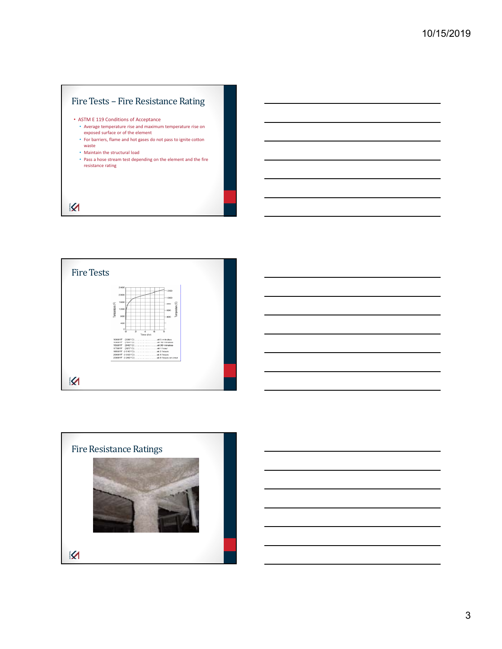



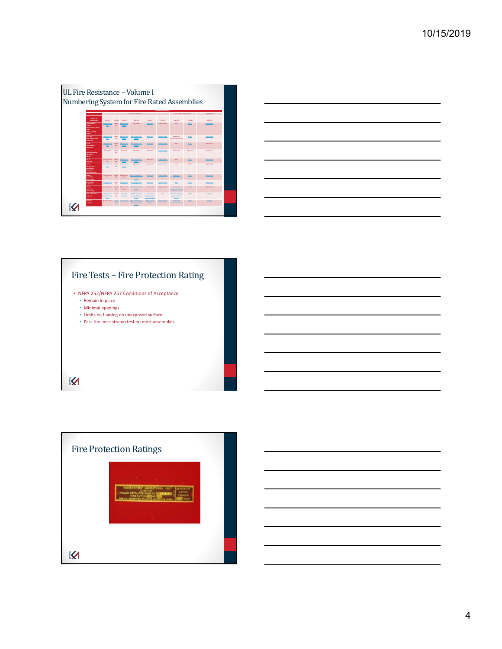

|                                                                                 |  | ___ |
|---------------------------------------------------------------------------------|--|-----|
|                                                                                 |  |     |
| $\overline{\phantom{a}}$                                                        |  | ___ |
|                                                                                 |  |     |
|                                                                                 |  |     |
|                                                                                 |  | __  |
|                                                                                 |  |     |
|                                                                                 |  | __  |
|                                                                                 |  |     |
| the contract of the contract of the contract of the contract of the contract of |  |     |



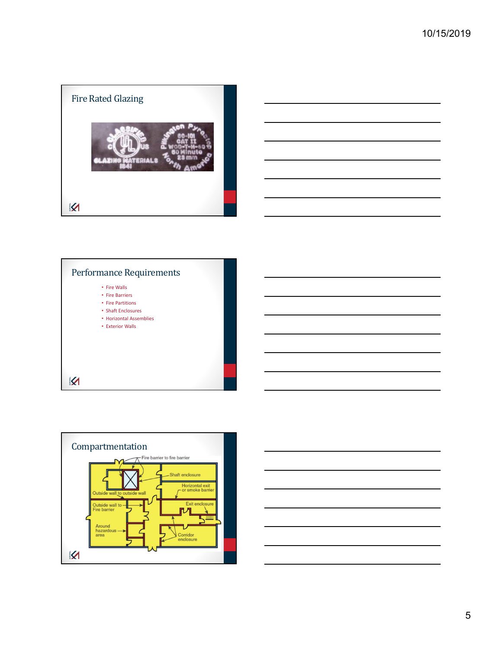







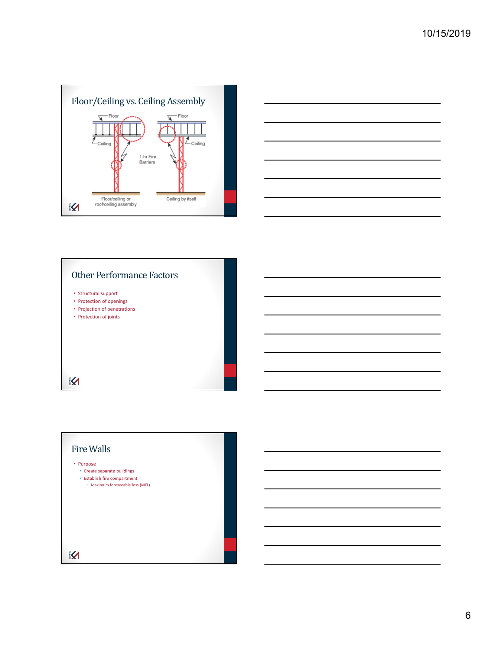



## Other Performance Factors

- Structural support
- Protection of openings
- Projection of penetrations
- Protection of joints

 $\overline{\mathbf{X}}$ 

# Fire Walls • Purpose • Create separate buildings • Establish fire compartment • Maximum foreseeable loss (MFL) $\overline{\mathbf{X}}$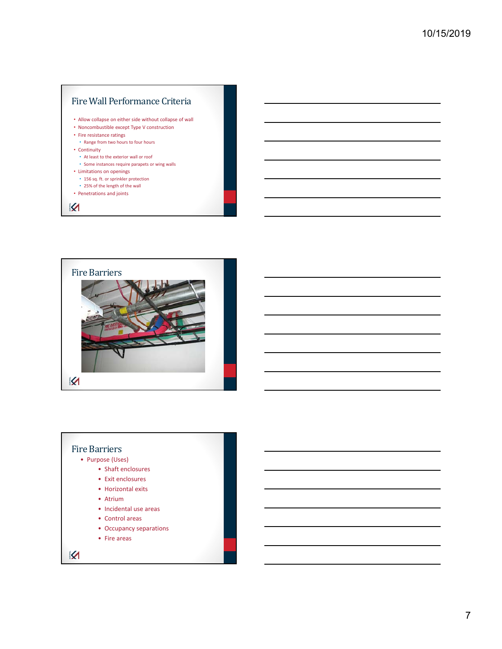

• Penetrations and joints

 $\boldsymbol{\mathcal{R}}$ 



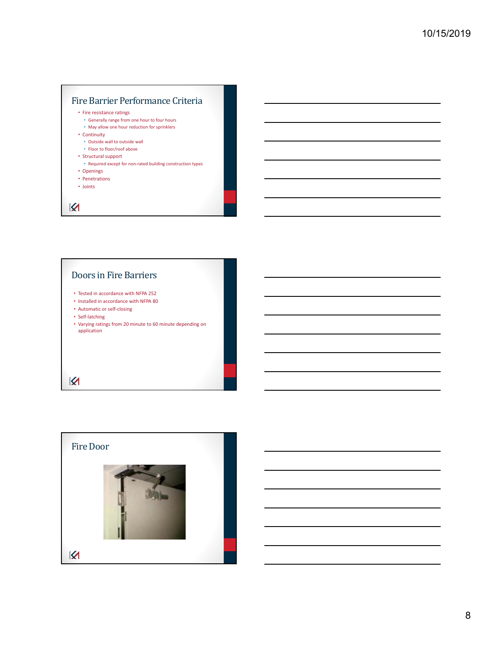

## Doors in Fire Barriers

- Tested in accordance with NFPA 252
- Installed in accordance with NFPA 80
- Automatic or self‐closing
- Self‐latching
- Varying ratings from 20 minute to 60 minute depending on application

K

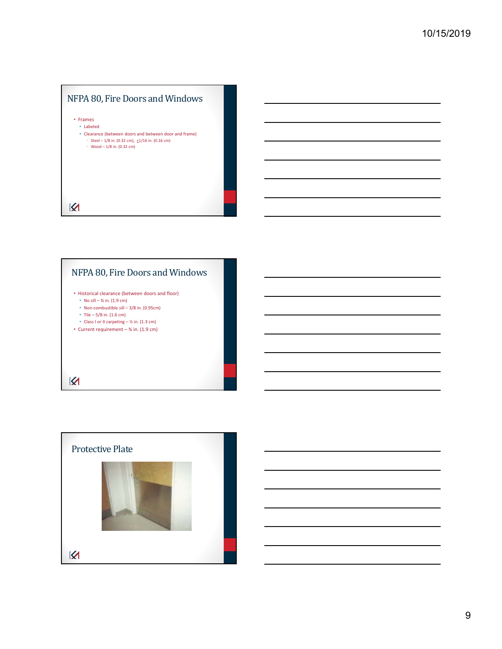



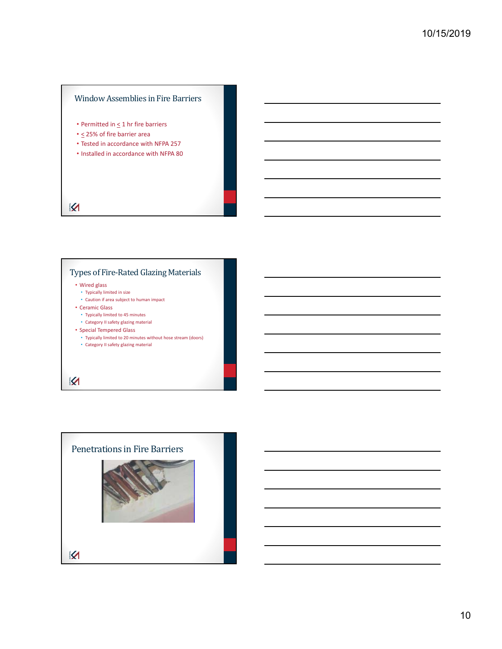## Window Assemblies in Fire Barriers

- Permitted in  $\leq 1$  hr fire barriers
- $\leq$  25% of fire barrier area
- Tested in accordance with NFPA 257
- Installed in accordance with NFPA 80

## $\overline{\mathbf{X}}$

## Types of Fire-Rated Glazing Materials

#### • Wired glass

- Typically limited in size • Caution if area subject to human impact
- Ceramic Glass
- Typically limited to 45 minutes
- Category II safety glazing material
- Special Tempered Glass
	- Typically limited to 20 minutes without hose stream (doors) • Category II safety glazing material

## K

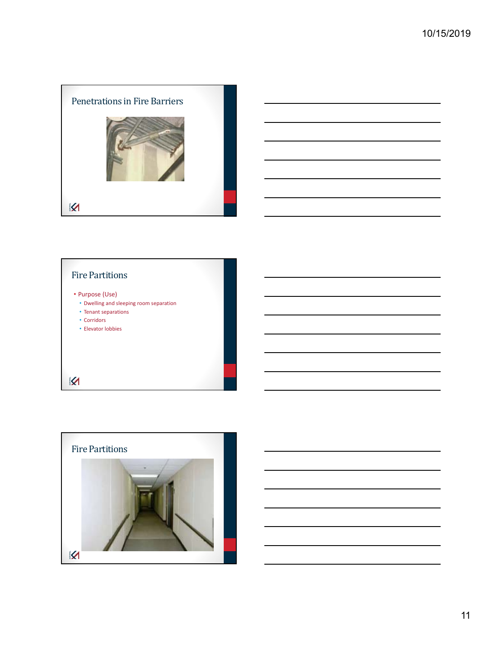





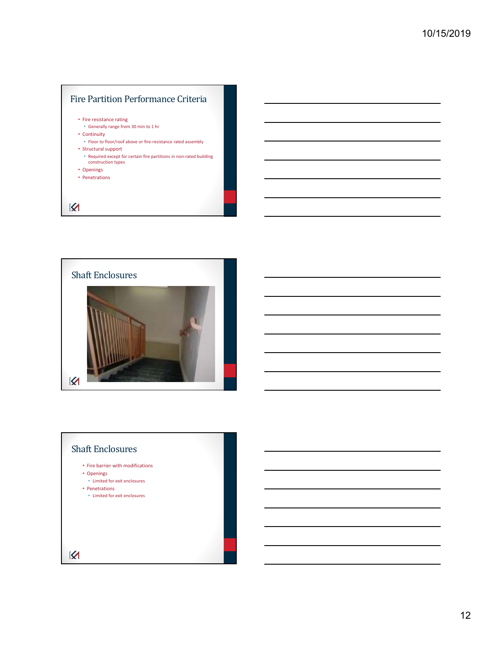



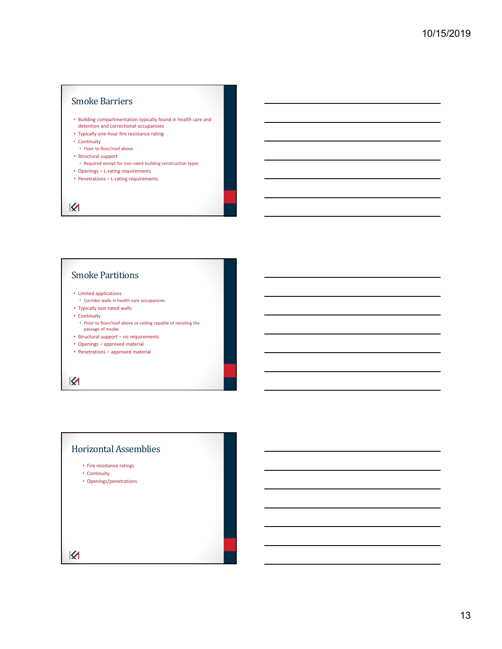## Smoke Barriers

- Building compartmentation typically found in health care and
- detention and correctional occupancies • Typically one‐hour fire resistance rating
- Continuity
- Floor to floor/roof above
- Structural support
	- Required except for non‐rated building construction types
- Openings L‐rating requirements
- Penetrations L-rating requirements

## $\overline{\mathbf{X}}$

## Smoke Partitions

- Limited applications
- Corridor walls in health care occupancies
- Typically non‐rated walls
- Continuity
- Floor to floor/roof above or ceiling capable of resisting the passage of msoke
- Structural support no requirements
- Openings approved material
- Penetrations approved material

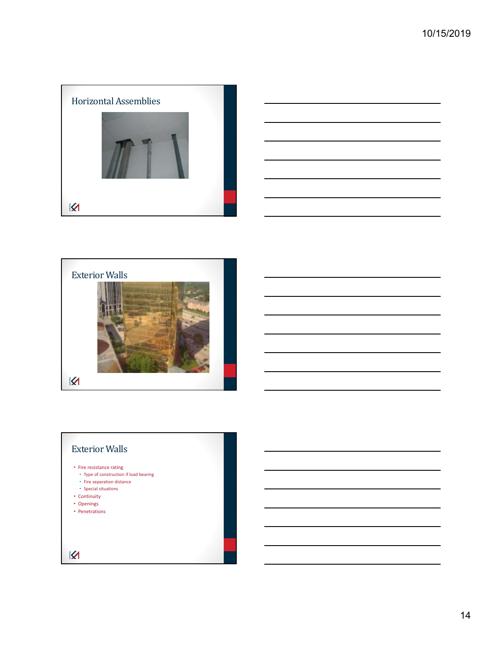